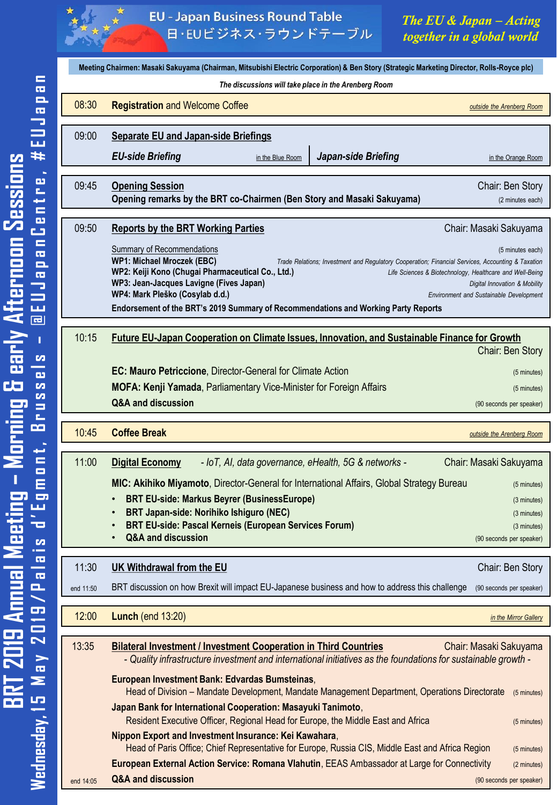

**EU - Japan Business Round Table** 日·EUビジネス·ラウンドテーブル

*The EU & Japan – Acting together in a global world*

| Meeting Chairmen: Masaki Sakuyama (Chairman, Mitsubishi Electric Corporation) & Ben Story (Strategic Marketing Director, Rolls-Royce plc) |                                                                                                                                                                                                                                                                                                                                                                                                                                                                                                                                                                  |  |
|-------------------------------------------------------------------------------------------------------------------------------------------|------------------------------------------------------------------------------------------------------------------------------------------------------------------------------------------------------------------------------------------------------------------------------------------------------------------------------------------------------------------------------------------------------------------------------------------------------------------------------------------------------------------------------------------------------------------|--|
|                                                                                                                                           | The discussions will take place in the Arenberg Room                                                                                                                                                                                                                                                                                                                                                                                                                                                                                                             |  |
| 08:30                                                                                                                                     | <b>Registration and Welcome Coffee</b><br>outside the Arenberg Room                                                                                                                                                                                                                                                                                                                                                                                                                                                                                              |  |
| 09:00                                                                                                                                     | <b>Separate EU and Japan-side Briefings</b>                                                                                                                                                                                                                                                                                                                                                                                                                                                                                                                      |  |
|                                                                                                                                           | <b>EU-side Briefing</b><br>Japan-side Briefing<br>in the Blue Room<br>in the Orange Room                                                                                                                                                                                                                                                                                                                                                                                                                                                                         |  |
|                                                                                                                                           |                                                                                                                                                                                                                                                                                                                                                                                                                                                                                                                                                                  |  |
| 09:45                                                                                                                                     | <b>Opening Session</b><br>Chair: Ben Story<br>Opening remarks by the BRT co-Chairmen (Ben Story and Masaki Sakuyama)<br>(2 minutes each)                                                                                                                                                                                                                                                                                                                                                                                                                         |  |
| 09:50                                                                                                                                     | <b>Reports by the BRT Working Parties</b><br>Chair: Masaki Sakuyama                                                                                                                                                                                                                                                                                                                                                                                                                                                                                              |  |
|                                                                                                                                           | Summary of Recommendations<br>(5 minutes each)<br><b>WP1: Michael Mroczek (EBC)</b><br>Trade Relations; Investment and Regulatory Cooperation; Financial Services, Accounting & Taxation<br>WP2: Keiji Kono (Chugai Pharmaceutical Co., Ltd.)<br>Life Sciences & Biotechnology, Healthcare and Well-Being<br>WP3: Jean-Jacques Lavigne (Fives Japan)<br>Digital Innovation & Mobility<br>WP4: Mark Pleško (Cosylab d.d.)<br><b>Environment and Sustainable Development</b><br>Endorsement of the BRT's 2019 Summary of Recommendations and Working Party Reports |  |
|                                                                                                                                           |                                                                                                                                                                                                                                                                                                                                                                                                                                                                                                                                                                  |  |
| 10:15                                                                                                                                     | <b>Future EU-Japan Cooperation on Climate Issues, Innovation, and Sustainable Finance for Growth</b><br>Chair: Ben Story                                                                                                                                                                                                                                                                                                                                                                                                                                         |  |
|                                                                                                                                           | <b>EC: Mauro Petriccione, Director-General for Climate Action</b><br>(5 minutes)                                                                                                                                                                                                                                                                                                                                                                                                                                                                                 |  |
|                                                                                                                                           | <b>MOFA: Kenji Yamada, Parliamentary Vice-Minister for Foreign Affairs</b><br>(5 minutes)                                                                                                                                                                                                                                                                                                                                                                                                                                                                        |  |
|                                                                                                                                           | Q&A and discussion<br>(90 seconds per speaker)                                                                                                                                                                                                                                                                                                                                                                                                                                                                                                                   |  |
| 10:45                                                                                                                                     | <b>Coffee Break</b><br>outside the Arenberg Room                                                                                                                                                                                                                                                                                                                                                                                                                                                                                                                 |  |
| 11:00                                                                                                                                     | <b>Digital Economy</b><br>- IoT, AI, data governance, eHealth, 5G & networks -<br>Chair: Masaki Sakuyama                                                                                                                                                                                                                                                                                                                                                                                                                                                         |  |
|                                                                                                                                           | MIC: Akihiko Miyamoto, Director-General for International Affairs, Global Strategy Bureau<br>(5 minutes)                                                                                                                                                                                                                                                                                                                                                                                                                                                         |  |
|                                                                                                                                           | <b>BRT EU-side: Markus Beyrer (BusinessEurope)</b><br>(3 minutes)                                                                                                                                                                                                                                                                                                                                                                                                                                                                                                |  |
|                                                                                                                                           | BRT Japan-side: Norihiko Ishiguro (NEC)<br>(3 minutes)<br>BRT EU-side: Pascal Kerneis (European Services Forum)<br>(3 minutes)                                                                                                                                                                                                                                                                                                                                                                                                                                   |  |
|                                                                                                                                           | <b>Q&amp;A and discussion</b><br>(90 seconds per speaker)                                                                                                                                                                                                                                                                                                                                                                                                                                                                                                        |  |
| 11:30                                                                                                                                     | UK Withdrawal from the EU<br>Chair: Ben Story                                                                                                                                                                                                                                                                                                                                                                                                                                                                                                                    |  |
| end 11:50                                                                                                                                 | BRT discussion on how Brexit will impact EU-Japanese business and how to address this challenge<br>(90 seconds per speaker)                                                                                                                                                                                                                                                                                                                                                                                                                                      |  |
| 12:00                                                                                                                                     | <b>Lunch (end 13:20)</b><br>in the Mirror Gallery                                                                                                                                                                                                                                                                                                                                                                                                                                                                                                                |  |
| 13:35                                                                                                                                     | <b>Bilateral Investment / Investment Cooperation in Third Countries</b><br>Chair: Masaki Sakuyama<br>- Quality infrastructure investment and international initiatives as the foundations for sustainable growth -                                                                                                                                                                                                                                                                                                                                               |  |
|                                                                                                                                           | European Investment Bank: Edvardas Bumsteinas,<br>Head of Division – Mandate Development, Mandate Management Department, Operations Directorate<br>(5 minutes)                                                                                                                                                                                                                                                                                                                                                                                                   |  |
|                                                                                                                                           |                                                                                                                                                                                                                                                                                                                                                                                                                                                                                                                                                                  |  |
|                                                                                                                                           | Japan Bank for International Cooperation: Masayuki Tanimoto,                                                                                                                                                                                                                                                                                                                                                                                                                                                                                                     |  |
|                                                                                                                                           | Resident Executive Officer, Regional Head for Europe, the Middle East and Africa<br>(5 minutes)<br>Nippon Export and Investment Insurance: Kei Kawahara,                                                                                                                                                                                                                                                                                                                                                                                                         |  |
|                                                                                                                                           | Head of Paris Office; Chief Representative for Europe, Russia CIS, Middle East and Africa Region<br>(5 minutes)<br>European External Action Service: Romana Vlahutin, EEAS Ambassador at Large for Connectivity<br>(2 minutes)                                                                                                                                                                                                                                                                                                                                   |  |